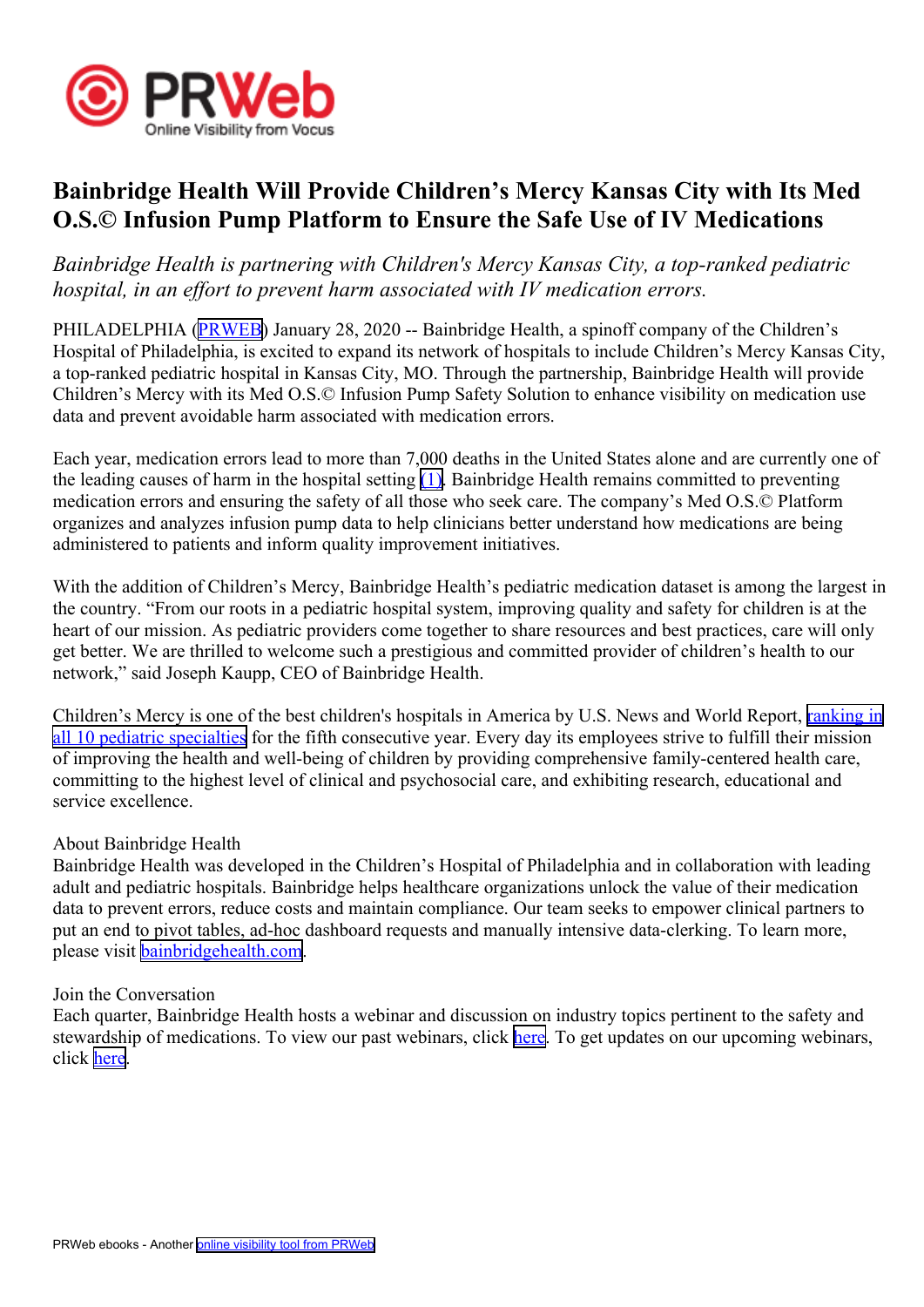

## **Bainbridge Health Will Provide Children's Mercy Kansas City with Its Med O.S.© Infusion Pump Platform to Ensure the Safe Use of IV Medications**

*Bainbridge Health is partnering with Children's Mercy Kansas City, <sup>a</sup> top-ranked pediatric hospital, in an effort to preven<sup>t</sup> harm associated with IV medication errors.*

PHILADELPHIA ([PRWEB](http://www.prweb.com)) January 28, 2020 -- Bainbridge Health, a spinoff company of the Children's Hospital of Philadelphia, is excited to expand its network of hospitals to include Children's Mercy Kansas City, <sup>a</sup> top-ranked pediatric hospital in Kansas City, MO. Through the partnership, Bainbridge Health will provide Children's Mercy with its Med O.S.© Infusion Pump Safety Solution to enhance visibility on medication use data and preven<sup>t</sup> avoidable harm associated with medication errors.

Each year, medication errors lead to more than 7,000 deaths in the United States alone and are currently one of the leading causes of harm in the hospital setting  $(1)$ . Bainbridge Health remains committed to preventing medication errors and ensuring the safety of all those who seek care. The company's Med O.S.© Platform organizes and analyzes infusion pump data to help clinicians better understand how medications are being administered to patients and inform quality improvement initiatives.

With the addition of Children's Mercy, Bainbridge Health's pediatric medication dataset is among the largest in the country. "From our roots in <sup>a</sup> pediatric hospital system, improving quality and safety for children is at the heart of our mission. As pediatric providers come together to share resources and best practices, care will only ge<sup>t</sup> better. We are thrilled to welcome such <sup>a</sup> prestigious and committed provider of children's health to our network," said Joseph Kaupp, CEO of Bainbridge Health.

Children's Mercy is one of the best children's hospitals in America by U.S. News and World Report, [ranking](https://health.usnews.com/best-hospitals/area/mo/childrens-mercy-hospitals-and-clinics-6630340) in all 10 [pediatric](https://health.usnews.com/best-hospitals/area/mo/childrens-mercy-hospitals-and-clinics-6630340) specialties for the fifth consecutive year. Every day its employees strive to fulfill their mission of improving the health and well-being of children by providing comprehensive family-centered health care, committing to the highest level of clinical and psychosocial care, and exhibiting research, educational and service excellence.

## About Bainbridge Health

Bainbridge Health was developed in the Children's Hospital of Philadelphia and in collaboration with leading adult and pediatric hospitals. Bainbridge helps healthcare organizations unlock the value of their medication data to preven<sup>t</sup> errors, reduce costs and maintain compliance. Our team seeks to empower clinical partners to pu<sup>t</sup> an end to pivot tables, ad-hoc dashboard requests and manually intensive data-clerking. To learn more, please visit [bainbridgehealth.com](https://bainbridgehealth.com/).

## Join the Conversation

Each quarter, Bainbridge Health hosts <sup>a</sup> webinar and discussion on industry topics pertinent to the safety and stewardship of medications. To view our past webinars, click [here](https://bainbridgehealth.com/resources/webinars/). To get updates on our upcoming webinars, click [here](https://bainbridgehealth.com/#webinar).